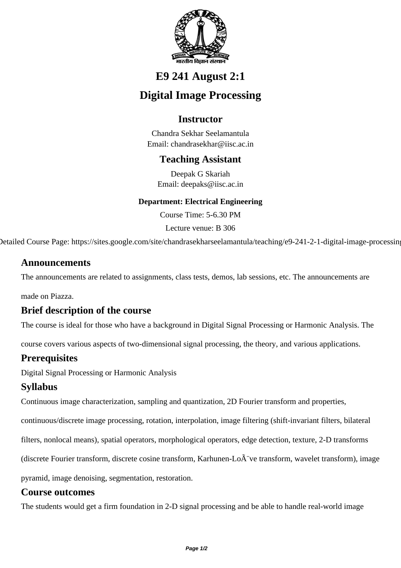

# **E9 241 August 2:1**

# **Digital Image Processing**

# **Instructor**

Chandra Sekhar Seelamantula Email: chandrasekhar@iisc.ac.in

## **Teaching Assistant**

Deepak G Skariah Email: deepaks@iisc.ac.in

#### **Department: Electrical Engineering**

Course Time: 5-6.30 PM

Lecture venue: B 306

Detailed Course Page: https://sites.google.com/site/chandrasekharseelamantula/teaching/e9-241-2-1-digital-image-processing

### **Announcements**

The announcements are related to assignments, class tests, demos, lab sessions, etc. The announcements are

made on Piazza.

### **Brief description of the course**

The course is ideal for those who have a background in Digital Signal Processing or Harmonic Analysis. The

course covers various aspects of two-dimensional signal processing, the theory, and various applications.

## **Prerequisites**

Digital Signal Processing or Harmonic Analysis

## **Syllabus**

Continuous image characterization, sampling and quantization, 2D Fourier transform and properties,

continuous/discrete image processing, rotation, interpolation, image filtering (shift-invariant filters, bilateral

filters, nonlocal means), spatial operators, morphological operators, edge detection, texture, 2-D transforms

(discrete Fourier transform, discrete cosine transform, Karhunen-Lo $\tilde{A}$  ve transform, wavelet transform), image

pyramid, image denoising, segmentation, restoration.

### **Course outcomes**

The students would get a firm foundation in 2-D signal processing and be able to handle real-world image